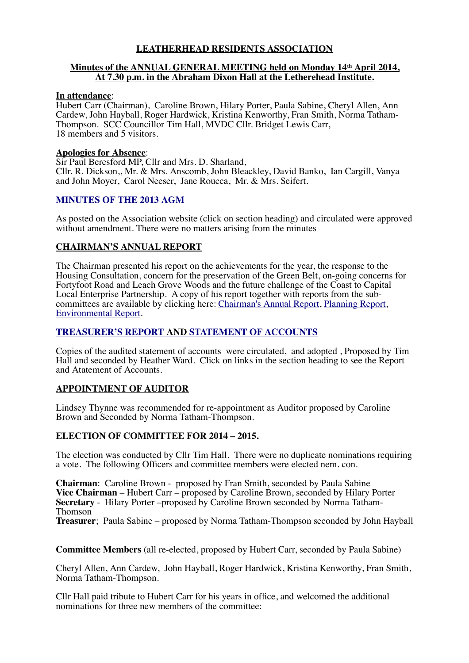# **LEATHERHEAD RESIDENTS ASSOCIATION**

### **Minutes of the ANNUAL GENERAL MEETING held on Monday 14th April 2014, At 7.30 p.m. in the Abraham Dixon Hall at the Letherehead Institute.**

#### **In attendance**:

Hubert Carr (Chairman), Caroline Brown, Hilary Porter, Paula Sabine, Cheryl Allen, Ann Cardew, John Hayball, Roger Hardwick, Kristina Kenworthy, Fran Smith, Norma Tatham-Thompson. SCC Councillor Tim Hall, MVDC Cllr. Bridget Lewis Carr, 18 members and 5 visitors.

### **Apologies for Absence**:

Sir Paul Beresford MP, Cllr and Mrs. D. Sharland, Cllr. R. Dickson,, Mr. & Mrs. Anscomb, John Bleackley, David Banko, Ian Cargill, Vanya and John Moyer, Carol Neeser, Jane Roucca, Mr. & Mrs. Seifert.

#### **[MINUTES OF THE 2013 AGM](http://www.leatherheadresidents.org.uk/Resources/Minutes/Minutes_AGM_2013.pdf)**

As posted on the Association website (click on section heading) and circulated were approved without amendment. There were no matters arising from the minutes

## **CHAIRMAN'S ANNUAL REPORT**

The Chairman presented his report on the achievements for the year, the response to the Housing Consultation, concern for the preservation of the Green Belt, on-going concerns for Fortyfoot Road and Leach Grove Woods and the future challenge of the Coast to Capital Local Enterprise Partnership. A copy of his report together with reports from the subcommittees are available by clicking here: [Chairman's Annual Report,](http://www.leatherheadresidents.org.uk/Reports/Chairman) [Planning Report,](http://www.leatherheadresidents.org.uk/Reports/Planning%20Year%20to%20April%202014.pdf) [Environmental Report.](http://www.leatherheadresidents.org.uk/Reports/Environmental%20Committee%20Report%20April%202014.pdf)

# **[TREASURER'S REPORT](http://www.leatherheadresidents.org.uk/Reports/Treasurer) AND [STATEMENT OF ACCOUNTS](http://www.leatherheadresidents.org.uk/Reports/Statement_of_Accounts_AGM_2014.pdf)**

Copies of the audited statement of accounts were circulated, and adopted , Proposed by Tim Hall and seconded by Heather Ward. Click on links in the section heading to see the Report and Atatement of Accounts.

## **APPOINTMENT OF AUDITOR**

Lindsey Thynne was recommended for re-appointment as Auditor proposed by Caroline Brown and Seconded by Norma Tatham-Thompson.

### **ELECTION OF COMMITTEE FOR 2014 – 2015.**

The election was conducted by Cllr Tim Hall. There were no duplicate nominations requiring a vote. The following Officers and committee members were elected nem. con.

**Chairman**: Caroline Brown - proposed by Fran Smith, seconded by Paula Sabine **Vice Chairman** – Hubert Carr – proposed by Caroline Brown, seconded by Hilary Porter **Secretary** - Hilary Porter –proposed by Caroline Brown seconded by Norma Tatham-Thomson **Treasurer**; Paula Sabine – proposed by Norma Tatham-Thompson seconded by John Hayball

**Committee Members** (all re-elected, proposed by Hubert Carr, seconded by Paula Sabine)

Cheryl Allen, Ann Cardew, John Hayball, Roger Hardwick, Kristina Kenworthy, Fran Smith, Norma Tatham-Thompson.

Cllr Hall paid tribute to Hubert Carr for his years in office, and welcomed the additional nominations for three new members of the committee: